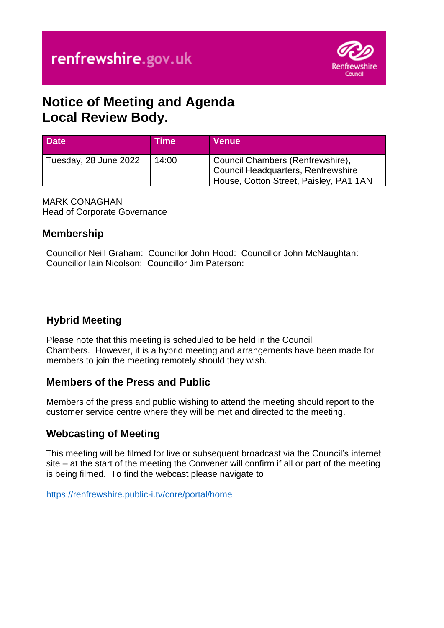

# **Notice of Meeting and Agenda Local Review Body.**

| <b>Date</b>           | <b>Time</b> | Venue                                                                                                                   |
|-----------------------|-------------|-------------------------------------------------------------------------------------------------------------------------|
| Tuesday, 28 June 2022 | 14:00       | Council Chambers (Renfrewshire),<br><b>Council Headquarters, Renfrewshire</b><br>House, Cotton Street, Paisley, PA1 1AN |

MARK CONAGHAN Head of Corporate Governance

### **Membership**

Councillor Neill Graham: Councillor John Hood: Councillor John McNaughtan: Councillor Iain Nicolson: Councillor Jim Paterson:

# **Hybrid Meeting**

Please note that this meeting is scheduled to be held in the Council Chambers. However, it is a hybrid meeting and arrangements have been made for members to join the meeting remotely should they wish.

### **Members of the Press and Public**

Members of the press and public wishing to attend the meeting should report to the customer service centre where they will be met and directed to the meeting.

## **Webcasting of Meeting**

This meeting will be filmed for live or subsequent broadcast via the Council's internet site – at the start of the meeting the Convener will confirm if all or part of the meeting is being filmed. To find the webcast please navigate to

<https://renfrewshire.public-i.tv/core/portal/home>